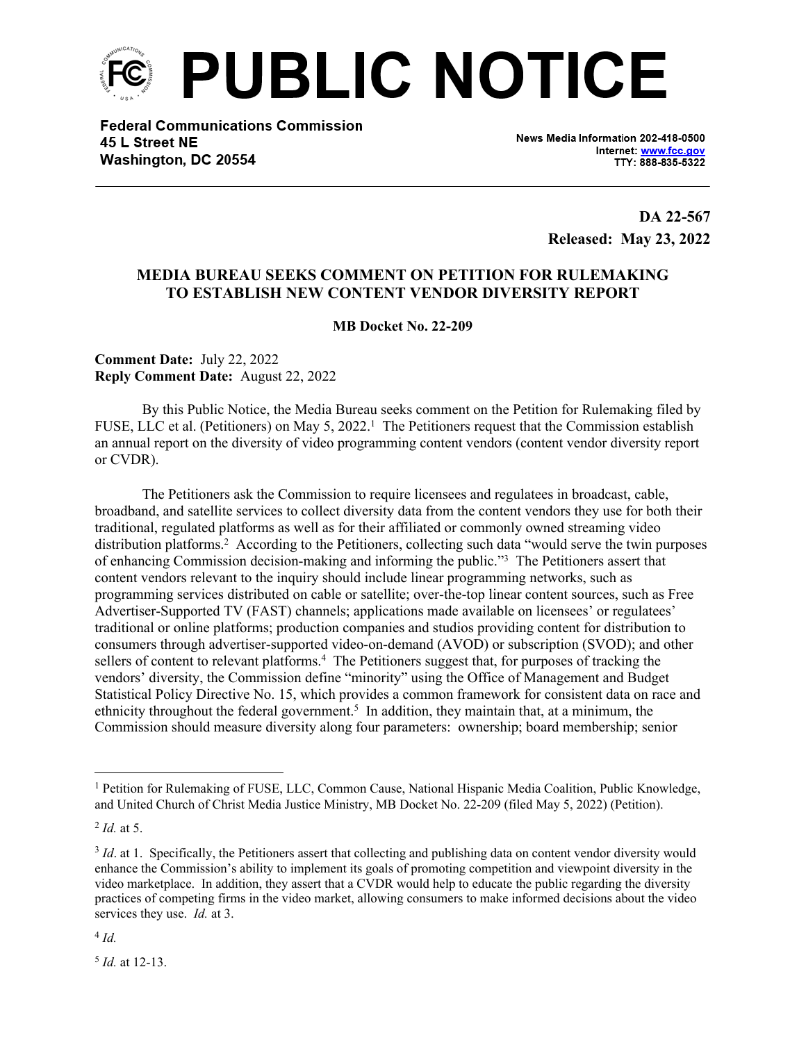

**Federal Communications Commission** 45 L Street NE Washington, DC 20554

News Media Information 202-418-0500 Internet: www.fcc.gov TTY: 888-835-5322

> **DA 22-567 Released: May 23, 2022**

## **MEDIA BUREAU SEEKS COMMENT ON PETITION FOR RULEMAKING TO ESTABLISH NEW CONTENT VENDOR DIVERSITY REPORT**

**MB Docket No. 22-209**

**Comment Date:** July 22, 2022 **Reply Comment Date:** August 22, 2022

By this Public Notice, the Media Bureau seeks comment on the Petition for Rulemaking filed by FUSE, LLC et al. (Petitioners) on May 5, 2022.<sup>1</sup> The Petitioners request that the Commission establish an annual report on the diversity of video programming content vendors (content vendor diversity report or CVDR).

The Petitioners ask the Commission to require licensees and regulatees in broadcast, cable, broadband, and satellite services to collect diversity data from the content vendors they use for both their traditional, regulated platforms as well as for their affiliated or commonly owned streaming video distribution platforms.<sup>2</sup> According to the Petitioners, collecting such data "would serve the twin purposes of enhancing Commission decision-making and informing the public."<sup>3</sup> The Petitioners assert that content vendors relevant to the inquiry should include linear programming networks, such as programming services distributed on cable or satellite; over-the-top linear content sources, such as Free Advertiser-Supported TV (FAST) channels; applications made available on licensees' or regulatees' traditional or online platforms; production companies and studios providing content for distribution to consumers through advertiser-supported video-on-demand (AVOD) or subscription (SVOD); and other sellers of content to relevant platforms.<sup>4</sup> The Petitioners suggest that, for purposes of tracking the vendors' diversity, the Commission define "minority" using the Office of Management and Budget Statistical Policy Directive No. 15, which provides a common framework for consistent data on race and ethnicity throughout the federal government.<sup>5</sup> In addition, they maintain that, at a minimum, the Commission should measure diversity along four parameters: ownership; board membership; senior

4 *Id.*

5 *Id.* at 12-13.

<sup>&</sup>lt;sup>1</sup> Petition for Rulemaking of FUSE, LLC, Common Cause, National Hispanic Media Coalition, Public Knowledge, and United Church of Christ Media Justice Ministry, MB Docket No. 22-209 (filed May 5, 2022) (Petition).

<sup>2</sup> *Id.* at 5.

<sup>&</sup>lt;sup>3</sup> *Id*. at 1. Specifically, the Petitioners assert that collecting and publishing data on content vendor diversity would enhance the Commission's ability to implement its goals of promoting competition and viewpoint diversity in the video marketplace. In addition, they assert that a CVDR would help to educate the public regarding the diversity practices of competing firms in the video market, allowing consumers to make informed decisions about the video services they use. *Id.* at 3.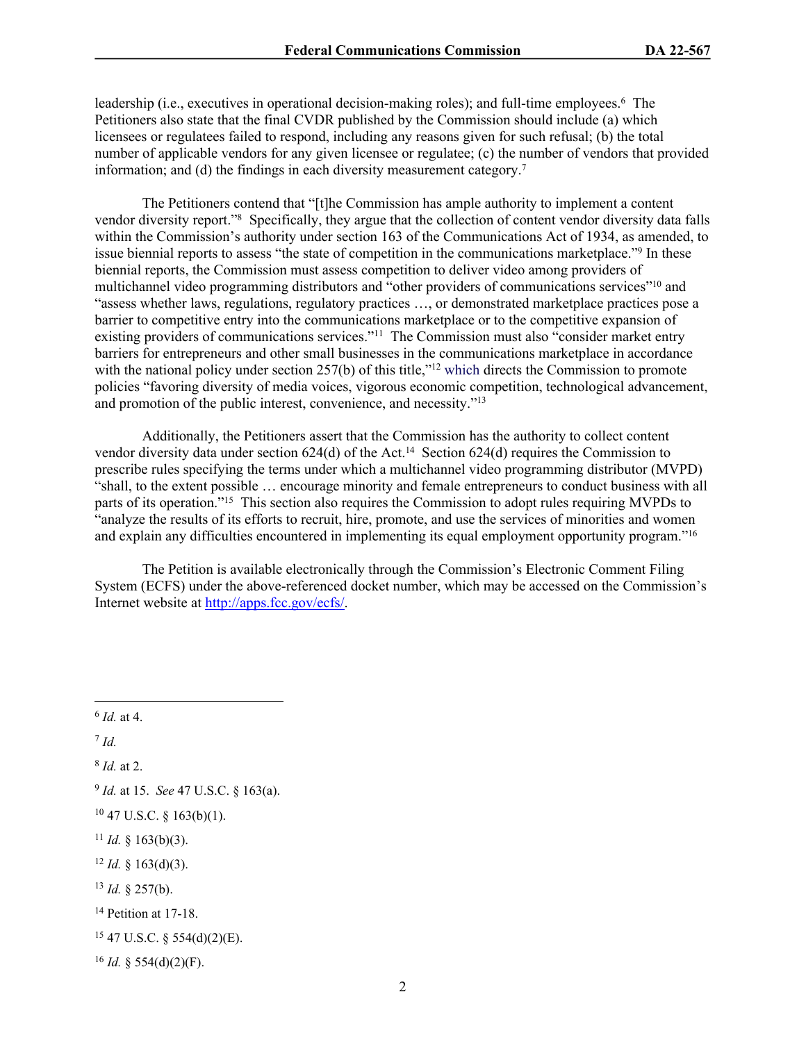leadership (i.e., executives in operational decision-making roles); and full-time employees.<sup>6</sup> The Petitioners also state that the final CVDR published by the Commission should include (a) which licensees or regulatees failed to respond, including any reasons given for such refusal; (b) the total number of applicable vendors for any given licensee or regulatee; (c) the number of vendors that provided information; and (d) the findings in each diversity measurement category.<sup>7</sup>

The Petitioners contend that "[t]he Commission has ample authority to implement a content vendor diversity report."<sup>8</sup> Specifically, they argue that the collection of content vendor diversity data falls within the Commission's authority under section 163 of the Communications Act of 1934, as amended, to issue biennial reports to assess "the state of competition in the communications marketplace."<sup>9</sup> In these biennial reports, the Commission must assess competition to deliver video among providers of multichannel video programming distributors and "other providers of communications services"<sup>10</sup> and "assess whether laws, regulations, regulatory practices …, or demonstrated marketplace practices pose a barrier to competitive entry into the communications marketplace or to the competitive expansion of existing providers of communications services."<sup>11</sup> The Commission must also "consider market entry barriers for entrepreneurs and other small businesses in the communications marketplace in accordance with the national policy under section 257(b) of this title,"<sup>12</sup> which directs the Commission to promote policies "favoring diversity of media voices, vigorous economic competition, technological advancement, and promotion of the public interest, convenience, and necessity."<sup>13</sup>

Additionally, the Petitioners assert that the Commission has the authority to collect content vendor diversity data under section 624(d) of the Act.<sup>14</sup> Section 624(d) requires the Commission to prescribe rules specifying the terms under which a multichannel video programming distributor (MVPD) "shall, to the extent possible … encourage minority and female entrepreneurs to conduct business with all parts of its operation."<sup>15</sup> This section also requires the Commission to adopt rules requiring MVPDs to "analyze the results of its efforts to recruit, hire, promote, and use the services of minorities and women and explain any difficulties encountered in implementing its equal employment opportunity program."<sup>16</sup>

The Petition is available electronically through the Commission's Electronic Comment Filing System (ECFS) under the above-referenced docket number, which may be accessed on the Commission's Internet website at [http://apps.fcc.gov/ecfs/.](http://apps.fcc.gov/ecfs/)

8 *Id.* at 2.

<sup>13</sup> *Id.* § 257(b).

<sup>6</sup> *Id.* at 4.

<sup>7</sup> *Id.*

<sup>9</sup> *Id.* at 15. *See* 47 U.S.C. § 163(a).

 $10$  47 U.S.C. § 163(b)(1).

<sup>&</sup>lt;sup>11</sup> *Id.* § 163(b)(3).

<sup>12</sup> *Id.* § 163(d)(3).

<sup>14</sup> Petition at 17-18.

<sup>15</sup> 47 U.S.C. § 554(d)(2)(E).

 $16$  *Id.* § 554(d)(2)(F).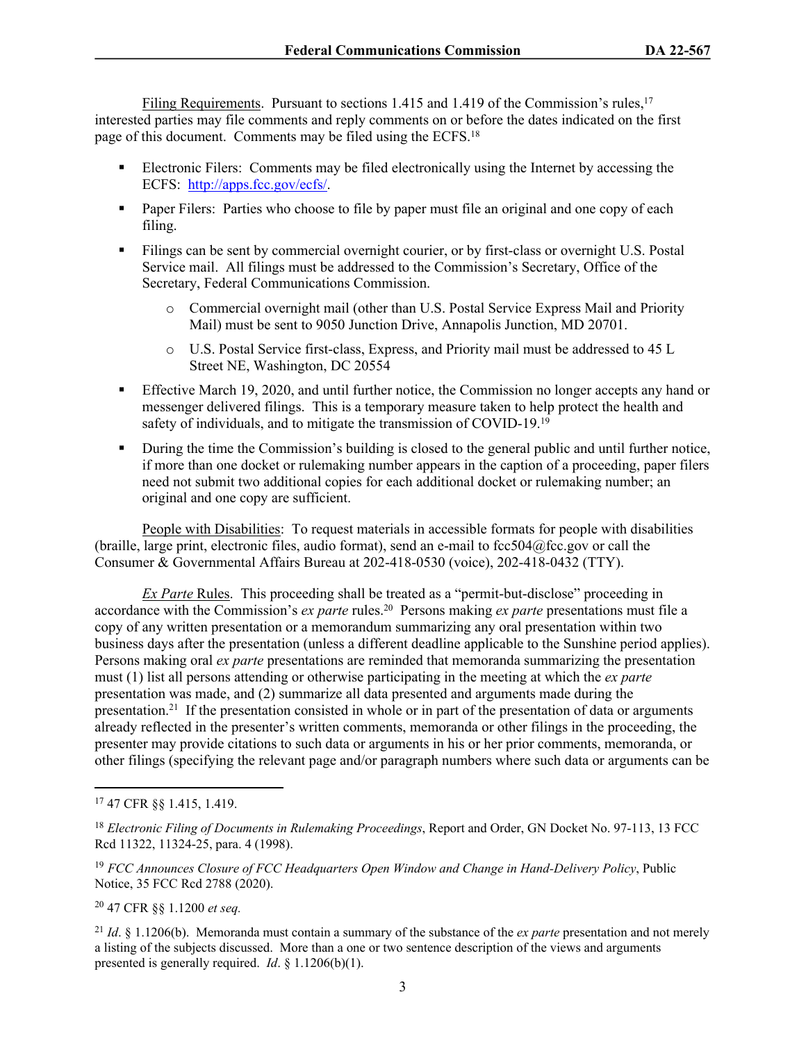Filing Requirements. Pursuant to sections 1.415 and 1.419 of the Commission's rules.<sup>17</sup> interested parties may file comments and reply comments on or before the dates indicated on the first page of this document. Comments may be filed using the ECFS.<sup>18</sup>

- Electronic Filers: Comments may be filed electronically using the Internet by accessing the ECFS: [http://apps.fcc.gov/ecfs/.](http://apps.fcc.gov/ecfs/)
- **Paper Filers:** Parties who choose to file by paper must file an original and one copy of each filing.
- Filings can be sent by commercial overnight courier, or by first-class or overnight U.S. Postal Service mail. All filings must be addressed to the Commission's Secretary, Office of the Secretary, Federal Communications Commission.
	- o Commercial overnight mail (other than U.S. Postal Service Express Mail and Priority Mail) must be sent to 9050 Junction Drive, Annapolis Junction, MD 20701.
	- o U.S. Postal Service first-class, Express, and Priority mail must be addressed to 45 L Street NE, Washington, DC 20554
- **Effective March 19, 2020, and until further notice, the Commission no longer accepts any hand or** messenger delivered filings. This is a temporary measure taken to help protect the health and safety of individuals, and to mitigate the transmission of COVID-19.<sup>19</sup>
- During the time the Commission's building is closed to the general public and until further notice, if more than one docket or rulemaking number appears in the caption of a proceeding, paper filers need not submit two additional copies for each additional docket or rulemaking number; an original and one copy are sufficient.

People with Disabilities: To request materials in accessible formats for people with disabilities (braille, large print, electronic files, audio format), send an e-mail to fcc504@fcc.gov or call the Consumer & Governmental Affairs Bureau at 202-418-0530 (voice), 202-418-0432 (TTY).

*Ex Parte* Rules. This proceeding shall be treated as a "permit-but-disclose" proceeding in accordance with the Commission's *ex parte* rules.<sup>20</sup> Persons making *ex parte* presentations must file a copy of any written presentation or a memorandum summarizing any oral presentation within two business days after the presentation (unless a different deadline applicable to the Sunshine period applies). Persons making oral *ex parte* presentations are reminded that memoranda summarizing the presentation must (1) list all persons attending or otherwise participating in the meeting at which the *ex parte*  presentation was made, and (2) summarize all data presented and arguments made during the presentation.<sup>21</sup> If the presentation consisted in whole or in part of the presentation of data or arguments already reflected in the presenter's written comments, memoranda or other filings in the proceeding, the presenter may provide citations to such data or arguments in his or her prior comments, memoranda, or other filings (specifying the relevant page and/or paragraph numbers where such data or arguments can be

<sup>19</sup> *FCC Announces Closure of FCC Headquarters Open Window and Change in Hand-Delivery Policy*, Public Notice, 35 FCC Rcd 2788 (2020).

<sup>20</sup> 47 CFR §§ 1.1200 *et seq.* 

<sup>21</sup> *Id*. § 1.1206(b). Memoranda must contain a summary of the substance of the *ex parte* presentation and not merely a listing of the subjects discussed. More than a one or two sentence description of the views and arguments presented is generally required. *Id*. § 1.1206(b)(1).

<sup>17</sup> 47 CFR §§ 1.415, 1.419.

<sup>18</sup> *Electronic Filing of Documents in Rulemaking Proceedings*, Report and Order, GN Docket No. 97-113, 13 FCC Rcd 11322, 11324-25, para. 4 (1998).